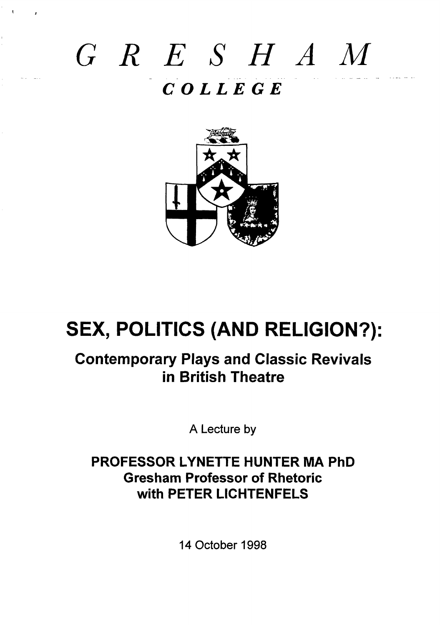# *GRE SHAM — COLLEGE*



# **SEX, POLITICS (AND RELIGION?):**

# **Contemporary Plays and Classic Revivals in British Theatre**

A Lecture by

# **PROFESSOR LYNETTE HUNTER MA PhD Gresham Professor of Rhetoric with PETER LICHTENFELS**

14 October 1998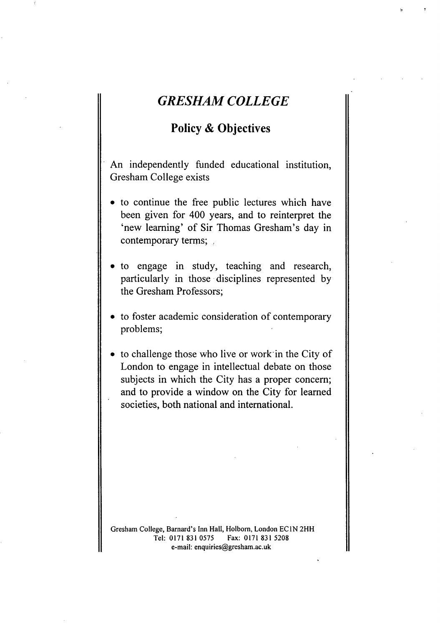# *GRESHAM COLLEGE*

 $\sqrt{ }$ 

## **Policy & Objectives**

An independently finded educational institution, Gresham College exists

- to continue the free public lectures which have been given for 400 years, and to reinterpret the 'new learning' of Sir Thomas Gresham's day in contemporary terms; .
- to engage in study, teaching and research, particularly in those disciplines represented by the Gresham Professors;
- to foster academic consideration of contemporary problems;
- to challenge those who live or work in the City of London to engage in intellectual debate on those subjects in which the City has a proper concern; and to provide a window on the City for learned societies, both national and international.

Gresham College, Barnard's Inn Hall, Holbom, London ECIN 2HH Tel: 01718310575 Fax: 01718315208 e-mail: enquiries@gresham. ac.uk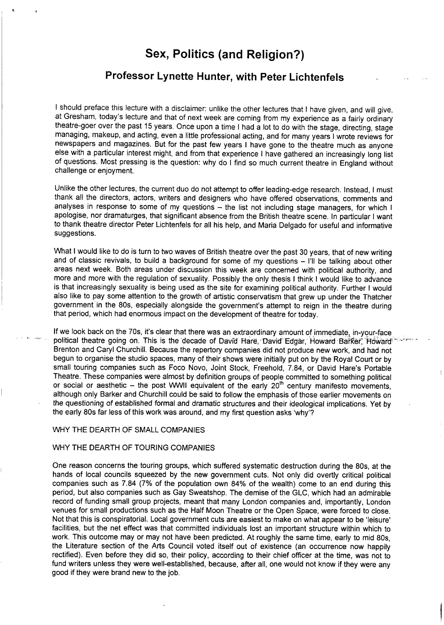## **Sex, Politics (and Religion?)**

## **Professor Lynette Hunter, with Peter Lichtenfels**

I should preface this lecture with a disclaimer: unlike the other lectures that I have given, and will give, at Gresham, today's lecture and that of next week are coming from my experience as a fairly ordinary theatre-goer over the past 15 years. Once upon a time I had a lot to do with the stage, directing, stage managing, makeup, and acting, even a little professional acting, and for many years I wrote reviews for newspapers and magazines. But for the past few years I have gone to the theatre much as anyone else with a particular interest might, and from that experience I have gathered an increasingly long list of questions. Most pressing is the question: why do I find so much current theatre in England without challenge or enjoyment.

Unlike the other lectures, the current duo do not attempt to offer leading-edge research. Instead, I must thank all the directors, actors, writers and designers who have offered observations, comments and analyses in response to some of my questions - the list not including stage managers, for which I apologise, nor dramaturges, that significant absence from the British theatre scene. In particular I want to thank theatre director Peter Lichtenfels for all his help, and Maria Delgado for useful and informative suggestions.

What I would like to do is turn to two waves of British theatre over the past 30 years, that of new writing and of classic revivals, to build a background for some of my questions  $-$  I'll be talking about other areas next week. Both areas under discussion this week are concerned with political authority, and more and more with the regulation of sexuality. Possibly the only thesis I think I would like to advance is that increasingly sexuality is being used as the site for examining political authority. Further I would also like to pay some attention to the growth of artistic conservatism that grew up under the Thatcher government in the 80s, especially alongside the government's attempt to reign in the theatre during that period, which had enormous impact on the development of theatre for today.

If we look back on the 70s, it's clear that there was an extraordinary amount of immediate, in-your-face political theatre going on. This is the decade of David Hare, David Edgar, Howard Barker, Howard  $-1$ -"-" ..:. Brenton and Caryl Churchill. Because the repertory companies did not produce new work, and had not begun to organise the studio spaces, many of their shows were initially put on by the Royal Court or by small touring companies such as Foco Novo, Joint Stock, Freehold, 7.84, or David Hare's Portable Theatre. These companies were almost by definition groups of people committed to something political or social or aesthetic – the post WWII equivalent of the early  $20<sup>th</sup>$  century manifesto movements, although only Barker and Churchill could be said to follow the emphasis of those earlier movements on the questioning of established formal and dramatic structures and their ideological implications. Yet by the early 80s far less of this work was around, and my first question asks 'why'?

#### WHY THE DEARTH OF SMALL COMPANIES

#### WHY THE DEARTH OF TOURING COMPANIES

One reason concerns the touring groups, which suffered systematic destruction during the 80s, at the hands of local councils squeezed by the new government cuts. Not only did overtly critical political companies such as 7.84 (7% of the population own 84% of the wealth) come to an end during this period, but also companies such as Gay Sweatshop. The demise of the GLC, which had an admirable record of funding small group projects, meant that many London companies and, importantly, London venues for small productions such as the Half Moon Theatre or the Open Space, were forced to close. Not that this is conspiratorial. Local government cuts are easiest to make on what appear to be 'leisure' facilities, but the net effect was that committed individuals lost an important structure within which to work. This outcome may or may not have been predicted. At roughly the same time, early to mid 80s, the Literature section of the Arts Council voted itself out of existence (an occurrence now happily rectified). Even before they did so, their policy, according to their chief officer at the time, was not to fund writers unless they were well-established, because, after all, one would not know if they were any good if they were brand new to the job.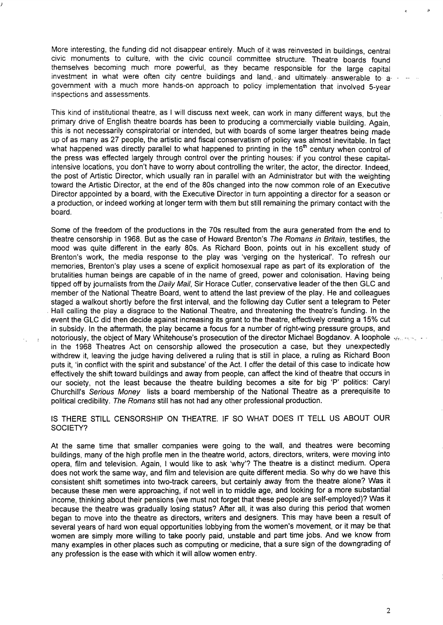More interesting, the funding did not disappear entirely. Much of it was reinvested in buildings, central civic monuments to culture, with the civic council committee structure. Theatre boards found themselves becoming much more powerful, as they became responsible for the large capital investment in what were often city centre buildings and land, and ultimately- answerable to- agovernment with a much more hands-on approach to policy implementation that involved 5-year inspections and assessments.

This kind of institutional theatre, as I will discuss next week, can work in many different ways, but the primary drive of English theatre boards has been to producing a commercially viable building. Again, this is not necessarily conspiratorial or intended, but with boards of some larger theatres being made up of as many as 27 people, the artistic and fiscal conservatism of policy was almost inevitable. In fact what happened was directly parallel to what happened to printing in the 16<sup>th</sup> century when control of the press was effected largely through control over the printing houses: if you control these capitalintensive locations, you don't have to worry about controlling the writer, the actor, the director. Indeed, the post of Artistic Director, which usually ran in parallel with an Administrator but with the weighting toward the Artistic Director, at the end of the 80s changed into the now common role of an Executive Director appointed by a board, with the Executive Director in turn appointing a director for a season or a production, or indeed working at longer term with them but still remaining the primary contact with the board.

Some of the freedom of the productions in the 70s resulted from the aura generated from the end to theatre censorship in 1968. But as the case of Howard Brenton's The Romans in Britain, testifies, the mood was quite different in the early 80s. As Richard Boon, points out in his excellent study of Brenton's work, the media response to the play was 'verging on the hysterical'. To refresh our memories, Brenton's play uses a scene of explicit homosexual rape as part of its exploration of the brutalities human beings are capable of in the name of greed, power and colonisation. Having being tipped off by journalists from the Daily Mail, Sir Horace Cutler, conservative leader of the then GLC and member of the National Theatre Board, went to attend the last preview of the play. He and colleagues staged a walkout shortly before the first interval, and the following day Cutler sent a telegram to Peter Hall calling the play a disgrace to the National .Theatre, and threatening the theatre's funding. In the event the GLC did then decide against increasing its grant to the theatre, effectively creating a 15% cut in subsidy. In the aftermath, the play became a focus for a number of right-wing pressure groups, and notoriously, the object of Mary Whitehouse's prosecution of the director Michael Bogdanov. A loophole  $\mu_{\text{max}}$ in the 1968 Theatres Act on censorship allowed the prosecution a case, but they unexpectedly withdrew it, leaving the judge having delivered a ruling that is still in place, a ruling as Richard Boon puts it, 'in conflict with the spirit and substance' of the Act. I offer the detail of this case to indicate how effectively the shift toward buildings and away from people, can affect the kind of theatre that occurs in our society, not the least because the theatre building becomes a site for big 'P' politics: Caryl Churchill's Serious Money lists a board membership of the National Theatre as a prerequisite to political credibility. The Remans still has not had any other professional production.

#### IS THERE STILL CENSORSHIP ON THEATRE. IF SO WHAT DOES IT TELL US ABOUT OUR SOCIETY?

At the same time that smaller companies were going to the wall, and theatres were becoming buildings, many of the high profile men in the theatre world, actors, directors, writers, were moving into opera, film and television. Again, I would like to ask 'why'? The theatre is a distinct medium. Opera does not work the same way, and film and television are quite different media. So why do we have this consistent shift sometimes into two-track careers, but certainly away from the theatre alone? Was it because these men were approaching, if not well in to middle age, and looking for a more substantial income, thinking about their pensions (we must not forget that these people are self-employed)? Was it because the theatre was gradually losing status? After all, it was also during this period that women began to move into the theatre as directors, writers and designers. This may have been a result of several years of hard won equal opportunities lobbying from the women's movement, or it may be that women are simply more willing to take poorly paid, unstable and part time jobs. And we know from many examples in other places such as computing or medicine, that a sure sign of the downgrading of any profession is the ease with which it will allow women entry.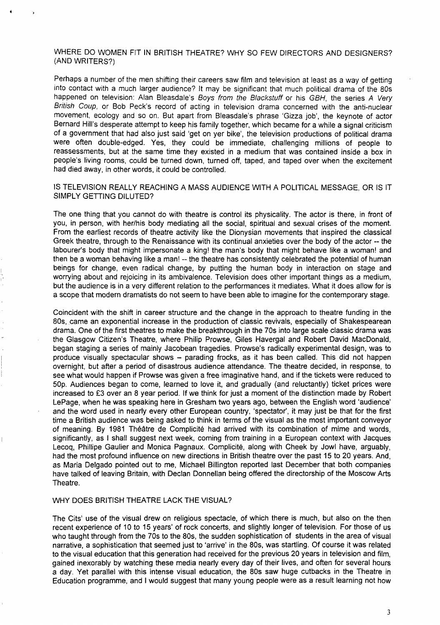#### WHERE DO WOMEN FIT IN BRITISH THEATRE? WHY SO FEW DIRECTORS AND DESIGNERS? (AND WRITERS?)

e

Perhaps a number of the men shifting their careers saw film and television at least as a way of getting into contact with a much larger audience? It may be significant that much political drama of the 80s happened on television: Alan Bleasdale's Boys from the Blackstuff or his GBH, the series A Very British Coup, or Bob Peck's record of acting in television drama concerned with the anti-nuclear movement, ecology and so on. But apart from Bleasdale's phrase 'Gizza job', the keynote of actor Bernard Hill's desperate attempt to keep his family together, which became for a while a signal criticism of a government that had also just said 'get on yer bike', the television productions of political drama were often double-edged. Yes, they could be immediate, challenging millions of people to reassessments, but at the same time they existed in a medium that was contained inside a box in people's living rooms, could be turned down, turned off, taped, and taped over when the excitement had died away, in other words, it could be controlled.

#### IS TELEVISION REALLY REACHING A MASS AUDIENCE WITH A POLITICAL MESSAGE, OR IS IT SIMPLY GETTING DILUTED?

The one thing that you cannot do with theatre is control its physicality. The actor is there, in front of you, in person, with her/his body mediating all the social, spiritual and sexual crises of the moment. From the earliest records of theatre activity like the Dionysian movements that inspired the classical Greek theatre, through to the Renaissance with its continual anxieties over the body of the actor -- the Iabourer's body that might impersonate a king! the man's body that might behave like a woman! and then be a woman behaving like a man! -- the theatre has consistently celebrated the potential of human beings for change, even radical change, by putting the human body in interaction on stage and worrying about and rejoicing in its ambivalence. Television does other important things as a medium, but the audience is in a very different relation to the performances it mediates. What it does allow for is a scope that modern dramatists do not seem to have been able to imagine for the contemporary stage.

Coincident with the shift in career structure and the change in the approach to theatre funding in the 80s, came an exponential increase in the production of classic revivals, especially of Shakespearean drama. One of the first theatres to make the breakthrough in the 70s into large scale classic drama was the Glasgow Citizen's Theatre, where Philip Prowse, Giles Havergal and Robert David MacDonald, began staging a series of mainly Jacobean tragedies. Prowse's radically experimental design, was to produce visually spectacular shows - parading frocks, as it has been called. This did not happen overnight, but after a period of disastrous audience attendance. The theatre decided, in response, to see what would happen if Prowse was given a free imaginative hand, and if the tickets were reduced to 50p. Audiences began to come, learned to love it, and gradually (and reluctantly) ticket prices were increased to £3 over an 8 year period. If we think for just a moment of the distinction made by Robert LePage, when he was speaking here in Gresham two years ago, between the English word 'audience' and the word used in nearly every other European country, 'spectator', it may just be that for the first time a British audience was being asked to think in terms of the visual as the most important conveyor of meaning. By 1981 Théâtre de Complicité had arrived with its combination of mime and words, significantly, as I shall suggest next week, coming from training in a European context with Jacques Lecoq, Phillipe Gaulier and Monica Pagnaux. Complicité, along with Cheek by Jowl have, arguably, had the most profound influence on new directions in British theatre over the past 15 to 20 years. And, as Maria Delgado pointed out to me, Michael Billington reported last December that both companies have talked of leaving Britain, with Declan Donnellan being offered the directorship of the Moscow Arts Theatre.

#### WHY DOES BRITISH THEATRE LACK THE VISUAL?

The Cits' use of the visual drew on religious spectacle, of which there is much, but also on the then recent experience of 10 to 15 years' of rock concerts, and slightly longer of television. For those of us who taught through from the 70s to the 80s, the sudden sophistication of students in the area of visual narrative, a sophistication that seemed just to 'arrive' in the 80s, was startling. Of course it was related to the visual education that this generation had received for the previous 20 years in television and film, gained inexorably by watching these media nearly every day of their lives, and often for several hours a day. Yet parallel with this intense visual education, the 80s saw huge cutbacks in the Theatre in Education programme, and I would suggest that many young people were as a result learning not how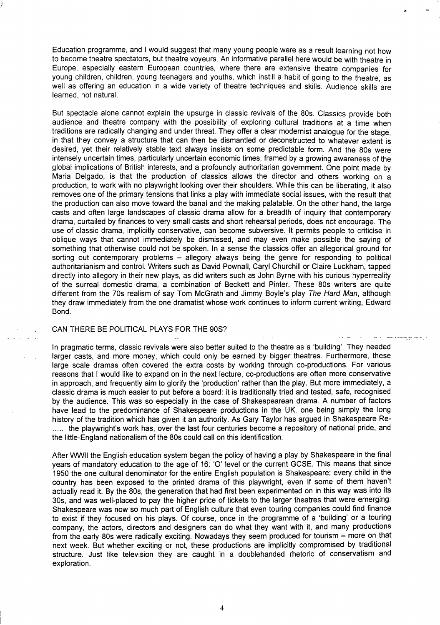Education programme, and I would suggest that many young people were as a result learning not how to become theatre spectators, but theatre voyeurs. An informative parallel here would be with theatre in Europe, especially eastern European countries, where there are extensive theatre companies for young children, children, young teenagers and youths, which instill a habit of going to the theatre, as well as offering an education in a wide variety of theatre techniques and skills. Audience skills are learned, not natural.

,,, !,

But spectacle alone cannot explain the upsurge in classic revivals of the 80s. Classics provide both audience and theatre company with the possibility of exploring cultural traditions at a time when traditions are radically changing and under threat. They offer <sup>a</sup> clear modernist analogue for the **stage,** in that they convey a structure that can then be dismantled or deconstructed to whatever extent is desired, yet their relatively stable text always insists on some predictable form. And the 80s were intensely uncertain times, particularly uncertain economic times, framed by a growing awareness of the global implications of British interests, and a profoundly authoritarian government. One point made by Maria Delgado, is that the production of classics allows the director and others working on a production, to work with no playwright looking over their shoulders. While this can be liberating, it also removes one of the primary tensions that links a play with immediate social issues, with the result that the production can also move toward the banal and the making palatable. On the other hand, the large casts and often large landscapes of classic drama allow for a breadth of inquiry that contemporary drama, curtailed by finances to very small casts and short rehearsal periods, does not encourage. The use of classic drama, implicitly conservative, can become subversive. It permits people to criticise in oblique ways that cannot immediately be dismissed, and may even make possible the saying of something that otherwise could not be spoken. In a sense the classics offer an allegorical ground for sorting out contemporary problems – allegory always being the genre for responding to political authoritarianism and control. Writers such as David Pownall, Caryl Churchill or Claire Luckham, tapped directly into allegory in their new plays, as did writers such as John Byrne with his curious hyperreality of the surreal domestic drama, a combination of Beckett and Pinter. These 80s writers are quite different from the 70s realism of say Tom McGrath and Jimmy Boyle's play The Hard Man, although they draw immediately from the one dramatist whose work continues to inform current writing, Edward Bond.

#### CAN THERE BE POLITICAL PLAYS FOR THE 90S? . — — ... ..-— —.—.

In pragmatic terms, classic revivals were also better suited to the theatre as a 'building'. They needed larger casts, and more money, which could only be earned by bigger theatres. Furthermore, these large scale dramas often covered the extra costs by working through co-productions. For various reasons that I would like to expand on in the next lecture, co-productions are often more conservative in approach, and frequently aim to glorify the 'production' rather than the play. But more immediately, a classic drama is much easier to put before a board: it is traditionally tried and tested, safe, recognised by the audience. This was so especially in the case of Shakespearean drama. A number of factors have lead to the predominance of Shakespeare productions in the UK, one being simply the long history of the tradition which has given it an authority. As Gary Taylor has argued in Shakespeare Re- ..... the playwright's work has, over the last four centuries become a repository of national pride, and the little-England nationalism of the 80s could call on this identification.

After WWII the English education system began the policy of having a play by Shakespeare in the final years of mandatory education to the age of 16: 'O' level or the current GCSE. This means that since 1950 the one cultural denominator for the entire English population is Shakespeare; every child in the country has been exposed to the printed drama of this playwright, even if some of them haven't actually read it. By the 80s, the generation that had first been experimented on in this way was into its 30s, and was well-placed to pay the higher price of tickets to the larger theatres that were emerging. Shakespeare was now so much part of English culture that even touring companies could find finance to exist if they focused on his plays. Of course, once in the programme of a 'building' or a touring company, the actors, directors and designers can do what they want with it, and many productions from the early 80s were radically exciting. Nowadays they seem produced for tourism – more on that next week. But whether exciting or not, these productions are implicitly compromised by traditional structure. Just like television they are caught in a doublehanded rhetoric of consewatism and exploration.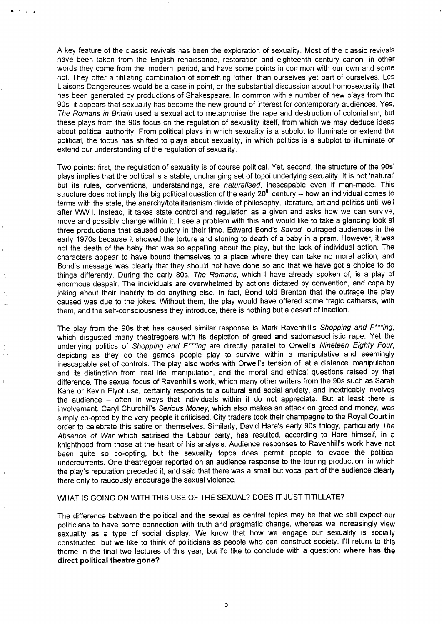A key feature of the classic revivals has been the exploration of sexuality. Most of the classic revivals have been taken from the English renaissance, restoration and eighteenth century canon, in other words they come from the 'modern' period, and have some points in common with our own and some not. They offer a titillating combination of something 'other' than ourselves yet part of ourselves: Les Liaisons Dangereuses would be a case in point, or the substantial discussion about homosexuality that has been generated by productions of Shakespeare. In common with a number of new plays from the 90s, it appears that sexuality has become the new ground of interest for contemporary audiences. Yes, The Romans in Britain used a sexual act to metaphorise the rape and destruction of colonialism, but these plays from the 90s focus on the regulation of sexuality itself, from which we may deduce ideas about political authority. From political plays in which sexuality is a subplot to illuminate or extend the political, the focus has shifted to plays about sexuality, in which politics is a subplot to illuminate or extend our understanding of the regulation of sexuality.

.1,, ,

...

Two points: first, the regulation of sexuality is of course political. Yet, second, the structure of the 90s' plays implies that the political is a stable, unchanging set of topoi underlying sexuality. It is not 'natural' but its rules, conventions, understandings, are *naturalised*, inescapable even if man-made. This structure does not imply the big political question of the early  $20<sup>th</sup>$  century -- how an individual comes to terms with the state, the anarchy/totalitarianism divide of philosophy, literature, art and politics until well after WWII. Instead, it takes state control and regulation as a given and asks how we can survive, move and possibly change within it. i see a problem with this and would like to take a glancing look at three productions that caused outcry in their time. Edward Bond's Saved outraged audiences in the early 1970s because it showed the torture and stoning to death of a baby in a pram. However, it was not the death of the baby that was so appalling about the play, but the lack of individual action. The characters appear to have bound themselves to a place where they can take no moral action, and Bond's message was clearly that they should not have done so and that we have got a choice to do things differently. During the early 80s, The Romans, which I have already spoken of, is a play of enormous despair. The individuals are overwhelmed by actions dictated by convention, and cope by joking about their inability to do anything else. In fact, Bond told Brenton that the outrage the play caused was due to the jokes. Without them, the play would have offered some tragic catharsis, with them, and the self-consciousness they introduce, there is nothing but a desert of inaction.

The play from the 90s that has caused similar response is Mark Ravenhill's Shopping and F\*\*\*ing, which disgusted many theatregoers with its depiction of greed and sadomasochistic rape. Yet the underlying politics of Shopping and F\*\*\*ing are directly parallel to Orwell's Nineteen Eighty Four, depicting as they do the games people play to survive within a manipulative and seemingly inescapable set of controls. The play also works with Orwell's tension of 'at a distance' manipulation and its distinction from 'real life' manipulation, and the moral and ethical questions raised by that difference. The sexual focus of Ravenhill's work, which many other writers from the 90s such as Sarah Kane or Kevin Elyot use, certainly responds to a cultural and social anxiety, and inextricably involves the audience – often in ways that individuals within it do not appreciate. But at least there is involvement. Caryl Churchill's Serious Money, which also makes an attack on greed and money, was simply co-opted by the very people it criticised. City traders took their champagne to the Royal Court in order to celebrate this satire on themselves. Similarly, David Hare's early 90s trilogy, particularly The Absence of War which satirised the Labour party, has resulted, according to Hare himself, in a knighthood from those at the heart of his analysis. Audience responses to Ravenhill's work have not been quite so co-opting, but the sexuality topos does permit people to evade the political undercurrents. One theatregoer reported on an audience response to the touring production, in which the play's reputation preceded it, and said that there was a small but vocal part of the audience clearly there only to raucously encourage the sexual violence.

WHAT IS GOING ON WITH THIS USE OF THE SEXUAL? DOES IT JUST TITILLATE?

The difference between the political and the sexual as central topics may be that we still expect our politicians to have some connection with truth and pragmatic change, whereas we increasingly view sexuality as a type of social display. We know that how we engage our sexuality is socially constructed, but we like to think of politicians as people who can construct society. I'll return to this theme in the final two lectures of this year, but I'd like to conclude with a question: where has **the direct political theatre gone?**